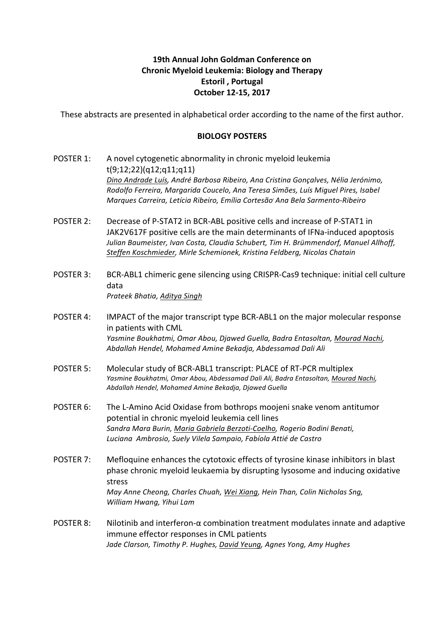## **19th Annual John Goldman Conference on Chronic Myeloid Leukemia: Biology and Therapy Estoril**, Portugal **October 12-15, 2017**

These abstracts are presented in alphabetical order according to the name of the first author.

## **BIOLOGY POSTERS**

- POSTER 1: A novel cytogenetic abnormality in chronic myeloid leukemia t(9;12;22)(q12;q11;q11) *Dino Andrade Luís, André Barbosa Ribeiro, Ana Cristina Gonçalves, Nélia Jerónimo, Rodolfo Ferreira, Margarida Coucelo, Ana Teresa Simões, Luís Miguel Pires, Isabel Marques Carreira, Letícia Ribeiro, Emília Cortesão, Ana Bela Sarmento-Ribeiro*
- POSTER 2: Decrease of P-STAT2 in BCR-ABL positive cells and increase of P-STAT1 in JAK2V617F positive cells are the main determinants of IFNa-induced apoptosis Julian Baumeister, Ivan Costa, Claudia Schubert, Tim H. Brümmendorf, Manuel Allhoff, *Steffen Koschmieder, Mirle Schemionek, Kristina Feldberg, Nicolas Chatain*
- POSTER 3: BCR-ABL1 chimeric gene silencing using CRISPR-Cas9 technique: initial cell culture data *Prateek Bhatia, Aditya Singh*
- POSTER 4: IMPACT of the major transcript type BCR-ABL1 on the major molecular response in patients with CML *Yasmine Boukhatmi, Omar Abou, Djawed Guella, Badra Entasoltan, Mourad Nachi, Abdallah Hendel, Mohamed Amine Bekadja, Abdessamad Dali Ali*
- POSTER 5: Molecular study of BCR-ABL1 transcript: PLACE of RT-PCR multiplex Yasmine Boukhatmi, Omar Abou, Abdessamad Dali Ali, Badra Entasoltan, Mourad Nachi, *Abdallah Hendel, Mohamed Amine Bekadja, Djawed Guella*
- POSTER 6: The L-Amino Acid Oxidase from bothrops moojeni snake venom antitumor potential in chronic myeloid leukemia cell lines *Sandra Mara Burin, Maria Gabriela Berzoti-Coelho, Rogerio Bodini Benati, Luciana Ambrosio, Suely Vilela Sampaio, Fabíola Attié de Castro*
- POSTER 7: Mefloquine enhances the cytotoxic effects of tyrosine kinase inhibitors in blast phase chronic myeloid leukaemia by disrupting lysosome and inducing oxidative stress *May Anne Cheong, Charles Chuah, Wei Xiang, Hein Than, Colin Nicholas Sng, William Hwang, Yihui Lam*
- POSTER 8: Nilotinib and interferon- $\alpha$  combination treatment modulates innate and adaptive immune effector responses in CML patients Jade Clarson, Timothy P. Hughes, David Yeung, Agnes Yong, Amy Hughes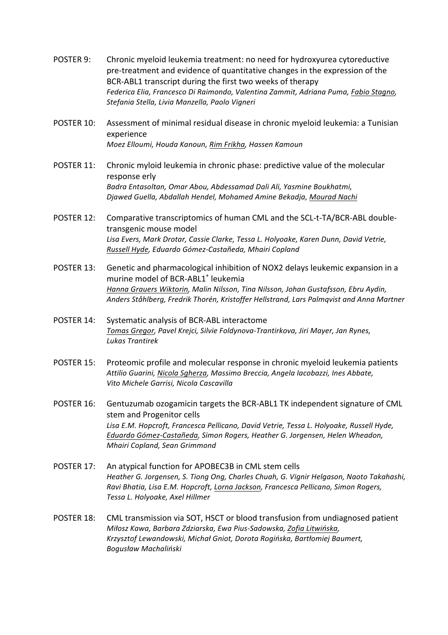- POSTER 9: Chronic myeloid leukemia treatment: no need for hydroxyurea cytoreductive pre-treatment and evidence of quantitative changes in the expression of the BCR-ABL1 transcript during the first two weeks of therapy *Federica Elia, Francesco Di Raimondo, Valentina Zammit, Adriana Puma, Fabio Stagno, Stefania Stella, Livia Manzella, Paolo Vigneri*
- POSTER 10: Assessment of minimal residual disease in chronic myeloid leukemia: a Tunisian experience *Moez Elloumi, Houda Kanoun, Rim Frikha, Hassen Kamoun*
- POSTER 11: Chronic myloid leukemia in chronic phase: predictive value of the molecular response erly Badra Entasoltan, Omar Abou, Abdessamad Dali Ali, Yasmine Boukhatmi, *Djawed Guella, Abdallah Hendel, Mohamed Amine Bekadja, Mourad Nachi*
- POSTER 12: Comparative transcriptomics of human CML and the SCL-t-TA/BCR-ABL doubletransgenic mouse model Lisa Evers, Mark Drotar, Cassie Clarke, Tessa L. Holyoake, Karen Dunn, David Vetrie, *Russell Hyde, Eduardo Gómez-Castañeda, Mhairi Copland*
- POSTER 13: Genetic and pharmacological inhibition of NOX2 delays leukemic expansion in a murine model of BCR-ABL1<sup>+</sup> leukemia Hanna Grauers Wiktorin, Malin Nilsson, Tina Nilsson, Johan Gustafsson, Ebru Aydin, *Anders Ståhlberg, Fredrik Thorén, Kristoffer Hellstrand, Lars Palmqvist and Anna Martner*
- POSTER 14: Systematic analysis of BCR-ABL interactome *Tomas Gregor, Pavel Krejci, Silvie Foldynova-Trantirkova, Jiri Mayer, Jan Rynes, Lukas Trantirek*
- POSTER 15: Proteomic profile and molecular response in chronic myeloid leukemia patients Attilio Guarini, Nicola Sgherza, Massimo Breccia, Angela Iacobazzi, Ines Abbate, *Vito Michele Garrisi, Nicola Cascavilla*
- POSTER 16: Gentuzumab ozogamicin targets the BCR-ABL1 TK independent signature of CML stem and Progenitor cells Lisa E.M. Hopcroft, Francesca Pellicano, David Vetrie, Tessa L. Holyoake, Russell Hyde, *Eduardo Gómez-Castañeda, Simon Rogers, Heather G. Jorgensen, Helen Wheadon, Mhairi Copland, Sean Grimmond*
- POSTER 17: An atypical function for APOBEC3B in CML stem cells Heather G. Jorgensen, S. Tiong Ong, Charles Chuah, G. Vignir Helgason, Naoto Takahashi, Ravi Bhatia, Lisa E.M. Hopcroft, Lorna Jackson, Francesca Pellicano, Simon Rogers, *Tessa L. Holyoake, Axel Hillmer*
- POSTER 18: CML transmission via SOT, HSCT or blood transfusion from undiagnosed patient *Miłosz Kawa, Barbara Zdziarska, Ewa Pius-Sadowska, Zofia Litwińska,*  Krzysztof Lewandowski, Michał Gniot, Dorota Rogińska, Bartłomiej Baumert, *Bogusław Machaliński*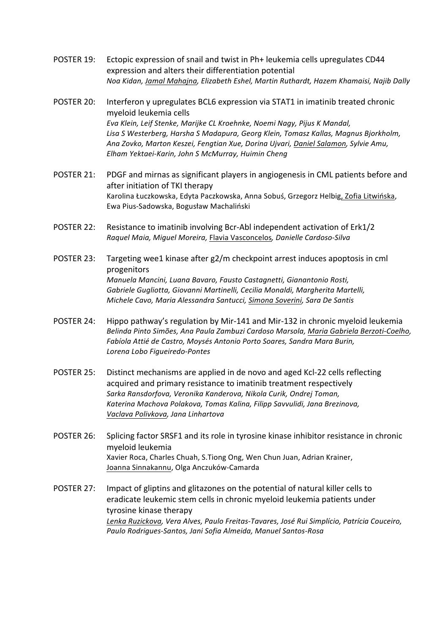- POSTER 19: Ectopic expression of snail and twist in Ph+ leukemia cells upregulates CD44 expression and alters their differentiation potential *Noa Kidan, Jamal Mahajna, Elizabeth Eshel, Martin Ruthardt, Hazem Khamaisi, Najib Dally*
- POSTER 20: Interferon  $\gamma$  upregulates BCL6 expression via STAT1 in imatinib treated chronic myeloid leukemia cells Eva Klein, Leif Stenke, Marijke CL Kroehnke, Noemi Nagy, Pijus K Mandal, Lisa S Westerberg, Harsha S Madapura, Georg Klein, Tomasz Kallas, Magnus Bjorkholm, *Ana Zovko, Marton Keszei, Fengtian Xue, Dorina Ujvari, Daniel Salamon, Sylvie Amu, Elham Yektaei-Karin, John S McMurray, Huimin Cheng*
- POSTER 21: PDGF and mirnas as significant players in angiogenesis in CML patients before and after initiation of TKI therapy Karolina Łuczkowska, Edyta Paczkowska, Anna Sobuś, Grzegorz Helbig, Zofia Litwińska, Ewa Pius-Sadowska, Bogusław Machaliński
- POSTER 22: Resistance to imatinib involving Bcr-Abl independent activation of Erk1/2 *Raquel Maia, Miguel Moreira,* Flavia Vasconcelos*, Danielle Cardoso-Silva*
- POSTER 23: Targeting wee1 kinase after  $g2/m$  checkpoint arrest induces apoptosis in cml progenitors *Manuela Mancini, Luana Bavaro, Fausto Castagnetti, Gianantonio Rosti, Gabriele Gugliotta, Giovanni Martinelli, Cecilia Monaldi, Margherita Martelli, Michele Cavo, Maria Alessandra Santucci, Simona Soverini, Sara De Santis*
- POSTER 24: Hippo pathway's regulation by Mir-141 and Mir-132 in chronic myeloid leukemia Belinda Pinto Simões, Ana Paula Zambuzi Cardoso Marsola, Maria Gabriela Berzoti-Coelho, *Fabíola Attié de Castro, Moysés Antonio Porto Soares, Sandra Mara Burin, Lorena Lobo Figueiredo-Pontes*
- POSTER 25: Distinct mechanisms are applied in de novo and aged Kcl-22 cells reflecting acquired and primary resistance to imatinib treatment respectively *Sarka Ransdorfova, Veronika Kanderova, Nikola Curik, Ondrej Toman,*  Katerina Machova Polakova, Tomas Kalina, Filipp Savvulidi, Jana Brezinova, *Vaclava Polivkova, Jana Linhartova*
- POSTER 26: Splicing factor SRSF1 and its role in tyrosine kinase inhibitor resistance in chronic myeloid leukemia Xavier Roca, Charles Chuah, S.Tiong Ong, Wen Chun Juan, Adrian Krainer, Joanna Sinnakannu, Olga Anczuków-Camarda
- POSTER 27: Impact of gliptins and glitazones on the potential of natural killer cells to eradicate leukemic stem cells in chronic myeloid leukemia patients under tyrosine kinase therapy Lenka Ruzickova, Vera Alves, Paulo Freitas-Tavares, José Rui Simplício, Patrícia Couceiro, *Paulo Rodrigues-Santos, Jani Sofia Almeida, Manuel Santos-Rosa*